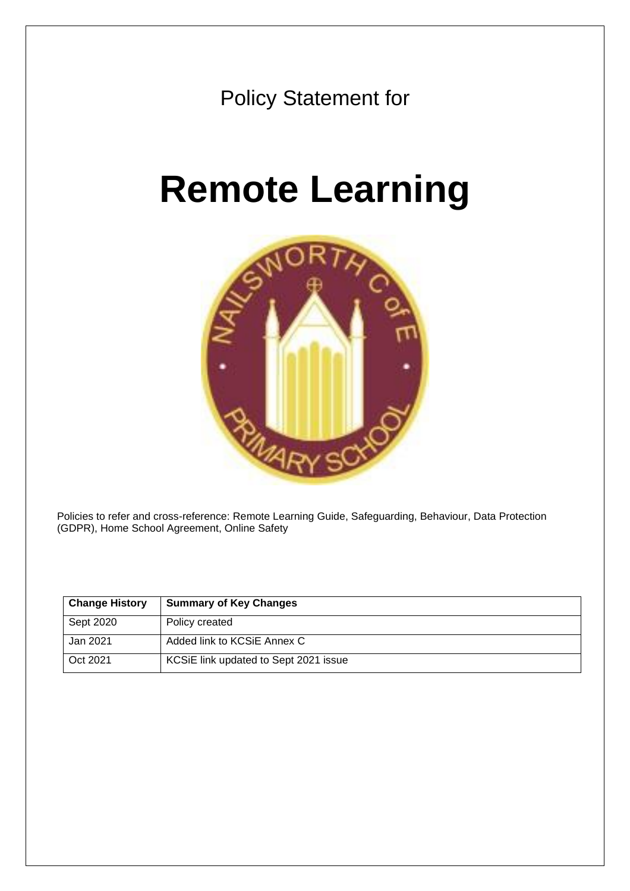

# **Remote Learning**



Policies to refer and cross-reference: Remote Learning Guide, Safeguarding, Behaviour, Data Protection (GDPR), Home School Agreement, Online Safety

| <b>Change History</b> | <b>Summary of Key Changes</b>         |
|-----------------------|---------------------------------------|
| Sept 2020             | Policy created                        |
| Jan 2021              | Added link to KCSiE Annex C           |
| Oct 2021              | KCSiE link updated to Sept 2021 issue |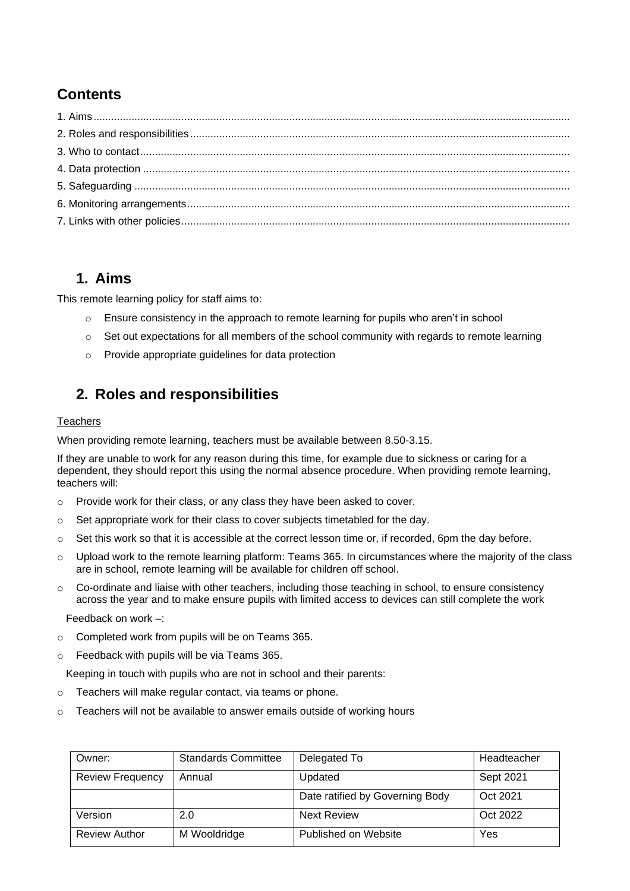# **Contents**

## <span id="page-1-0"></span>**1. Aims**

This remote learning policy for staff aims to:

- o Ensure consistency in the approach to remote learning for pupils who aren't in school
- $\circ$  Set out expectations for all members of the school community with regards to remote learning
- o Provide appropriate guidelines for data protection

# <span id="page-1-1"></span>**2. Roles and responsibilities**

#### **Teachers**

When providing remote learning, teachers must be available between 8.50-3.15.

If they are unable to work for any reason during this time, for example due to sickness or caring for a dependent, they should report this using the normal absence procedure. When providing remote learning, teachers will:

- o Provide work for their class, or any class they have been asked to cover.
- $\circ$  Set appropriate work for their class to cover subjects timetabled for the day.
- o Set this work so that it is accessible at the correct lesson time or, if recorded, 6pm the day before.
- o Upload work to the remote learning platform: Teams 365. In circumstances where the majority of the class are in school, remote learning will be available for children off school.
- $\circ$  Co-ordinate and liaise with other teachers, including those teaching in school, to ensure consistency across the year and to make ensure pupils with limited access to devices can still complete the work

Feedback on work –:

- o Completed work from pupils will be on Teams 365.
- o Feedback with pupils will be via Teams 365.

Keeping in touch with pupils who are not in school and their parents:

- o Teachers will make regular contact, via teams or phone.
- o Teachers will not be available to answer emails outside of working hours

| Owner:                  | <b>Standards Committee</b> | Delegated To                    | Headteacher |
|-------------------------|----------------------------|---------------------------------|-------------|
| <b>Review Frequency</b> | Annual                     | Updated                         | Sept 2021   |
|                         |                            | Date ratified by Governing Body | Oct 2021    |
| Version                 | 2.0                        | <b>Next Review</b>              | Oct 2022    |
| <b>Review Author</b>    | M Wooldridge               | Published on Website            | Yes         |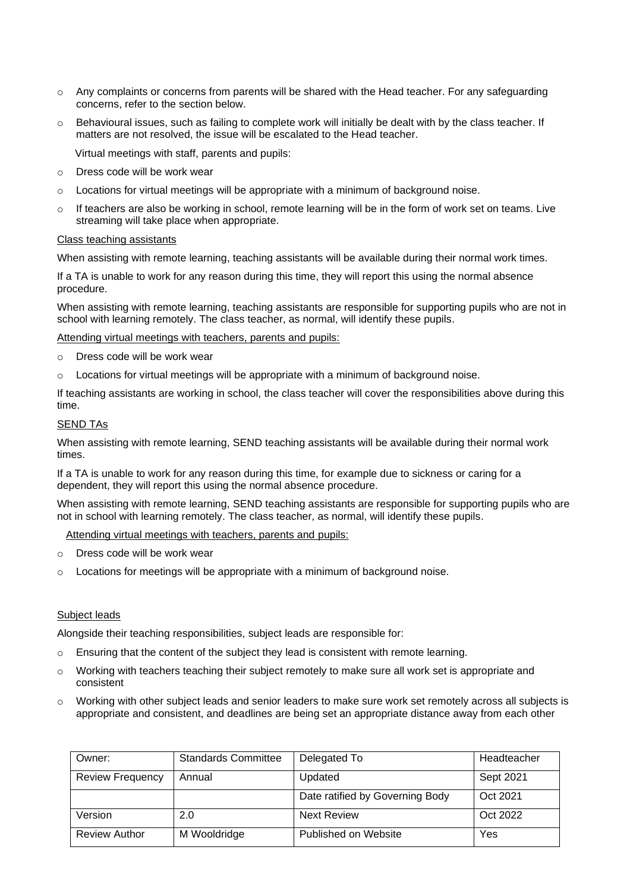- $\circ$  Any complaints or concerns from parents will be shared with the Head teacher. For any safeguarding concerns, refer to the section below.
- o Behavioural issues, such as failing to complete work will initially be dealt with by the class teacher. If matters are not resolved, the issue will be escalated to the Head teacher.

Virtual meetings with staff, parents and pupils:

- Dress code will be work wear
- $\circ$  Locations for virtual meetings will be appropriate with a minimum of background noise.
- $\circ$  If teachers are also be working in school, remote learning will be in the form of work set on teams. Live streaming will take place when appropriate.

#### Class teaching assistants

When assisting with remote learning, teaching assistants will be available during their normal work times.

If a TA is unable to work for any reason during this time, they will report this using the normal absence procedure.

When assisting with remote learning, teaching assistants are responsible for supporting pupils who are not in school with learning remotely. The class teacher, as normal, will identify these pupils.

Attending virtual meetings with teachers, parents and pupils:

- o Dress code will be work wear
- $\circ$  Locations for virtual meetings will be appropriate with a minimum of background noise.

If teaching assistants are working in school, the class teacher will cover the responsibilities above during this time.

#### **SEND TAs**

When assisting with remote learning, SEND teaching assistants will be available during their normal work times.

If a TA is unable to work for any reason during this time, for example due to sickness or caring for a dependent, they will report this using the normal absence procedure.

When assisting with remote learning, SEND teaching assistants are responsible for supporting pupils who are not in school with learning remotely. The class teacher, as normal, will identify these pupils.

Attending virtual meetings with teachers, parents and pupils:

- o Dress code will be work wear
- $\circ$  Locations for meetings will be appropriate with a minimum of background noise.

#### Subject leads

Alongside their teaching responsibilities, subject leads are responsible for:

- o Ensuring that the content of the subject they lead is consistent with remote learning.
- $\circ$  Working with teachers teaching their subject remotely to make sure all work set is appropriate and consistent
- o Working with other subject leads and senior leaders to make sure work set remotely across all subjects is appropriate and consistent, and deadlines are being set an appropriate distance away from each other

| Owner:                  | <b>Standards Committee</b> | Delegated To                    | Headteacher |
|-------------------------|----------------------------|---------------------------------|-------------|
| <b>Review Frequency</b> | Annual                     | Updated                         | Sept 2021   |
|                         |                            | Date ratified by Governing Body | Oct 2021    |
| Version                 | 2.0                        | <b>Next Review</b>              | Oct 2022    |
| <b>Review Author</b>    | M Wooldridge               | Published on Website            | Yes         |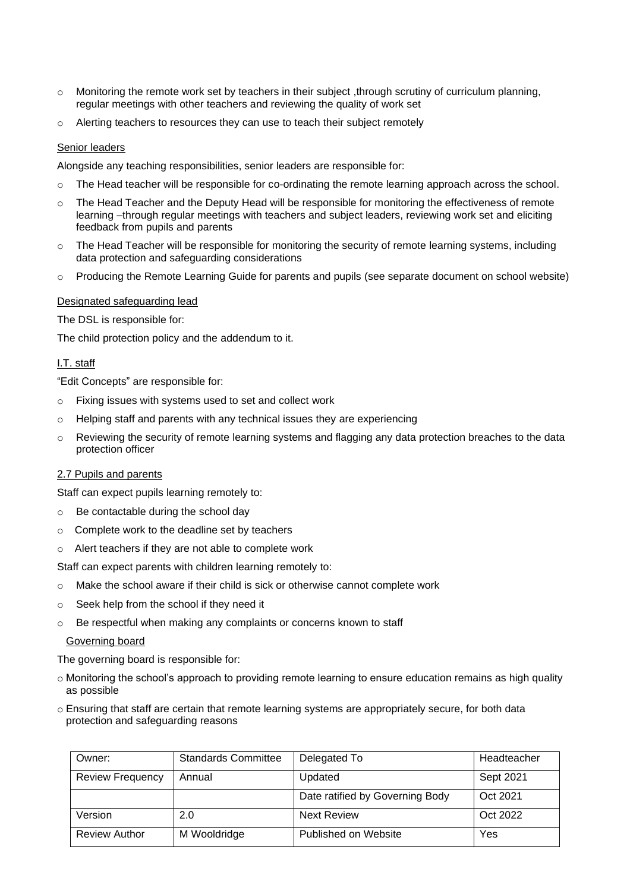- $\circ$  Monitoring the remote work set by teachers in their subject, through scrutiny of curriculum planning, regular meetings with other teachers and reviewing the quality of work set
- o Alerting teachers to resources they can use to teach their subject remotely

#### Senior leaders

Alongside any teaching responsibilities, senior leaders are responsible for:

- $\circ$  The Head teacher will be responsible for co-ordinating the remote learning approach across the school.
- o The Head Teacher and the Deputy Head will be responsible for monitoring the effectiveness of remote learning –through regular meetings with teachers and subject leaders, reviewing work set and eliciting feedback from pupils and parents
- $\circ$  The Head Teacher will be responsible for monitoring the security of remote learning systems, including data protection and safeguarding considerations
- o Producing the Remote Learning Guide for parents and pupils (see separate document on school website)

#### Designated safeguarding lead

The DSL is responsible for:

The child protection policy and the addendum to it.

#### I.T. staff

"Edit Concepts" are responsible for:

- o Fixing issues with systems used to set and collect work
- o Helping staff and parents with any technical issues they are experiencing
- o Reviewing the security of remote learning systems and flagging any data protection breaches to the data protection officer

#### 2.7 Pupils and parents

Staff can expect pupils learning remotely to:

- o Be contactable during the school day
- o Complete work to the deadline set by teachers
- o Alert teachers if they are not able to complete work

Staff can expect parents with children learning remotely to:

- $\circ$  Make the school aware if their child is sick or otherwise cannot complete work
- o Seek help from the school if they need it
- o Be respectful when making any complaints or concerns known to staff

#### Governing board

The governing board is responsible for:

- o Monitoring the school's approach to providing remote learning to ensure education remains as high quality as possible
- o Ensuring that staff are certain that remote learning systems are appropriately secure, for both data protection and safeguarding reasons

| Owner:                  | <b>Standards Committee</b> | Delegated To                    | Headteacher |
|-------------------------|----------------------------|---------------------------------|-------------|
| <b>Review Frequency</b> | Annual                     | Updated                         | Sept 2021   |
|                         |                            | Date ratified by Governing Body | Oct 2021    |
| Version                 | 2.0                        | <b>Next Review</b>              | Oct 2022    |
| <b>Review Author</b>    | M Wooldridge               | Published on Website            | Yes         |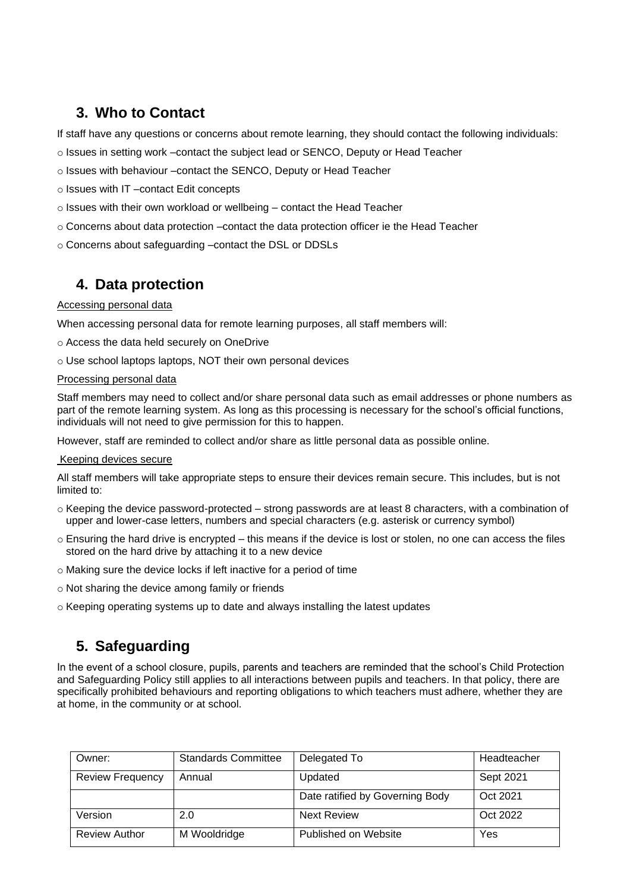# <span id="page-4-0"></span>**3. Who to Contact**

If staff have any questions or concerns about remote learning, they should contact the following individuals:

o Issues in setting work –contact the subject lead or SENCO, Deputy or Head Teacher

o Issues with behaviour –contact the SENCO, Deputy or Head Teacher

o Issues with IT –contact Edit concepts

- o Issues with their own workload or wellbeing contact the Head Teacher
- o Concerns about data protection –contact the data protection officer ie the Head Teacher

o Concerns about safeguarding –contact the DSL or DDSLs

## <span id="page-4-1"></span>**4. Data protection**

#### Accessing personal data

When accessing personal data for remote learning purposes, all staff members will:

o Access the data held securely on OneDrive

o Use school laptops laptops, NOT their own personal devices

#### Processing personal data

Staff members may need to collect and/or share personal data such as email addresses or phone numbers as part of the remote learning system. As long as this processing is necessary for the school's official functions, individuals will not need to give permission for this to happen.

However, staff are reminded to collect and/or share as little personal data as possible online.

#### Keeping devices secure

All staff members will take appropriate steps to ensure their devices remain secure. This includes, but is not limited to:

- $\circ$  Keeping the device password-protected strong passwords are at least 8 characters, with a combination of upper and lower-case letters, numbers and special characters (e.g. asterisk or currency symbol)
- $\circ$  Ensuring the hard drive is encrypted this means if the device is lost or stolen, no one can access the files stored on the hard drive by attaching it to a new device
- o Making sure the device locks if left inactive for a period of time
- o Not sharing the device among family or friends
- o Keeping operating systems up to date and always installing the latest updates

## <span id="page-4-2"></span>**5. Safeguarding**

In the event of a school closure, pupils, parents and teachers are reminded that the school's Child Protection and Safeguarding Policy still applies to all interactions between pupils and teachers. In that policy, there are specifically prohibited behaviours and reporting obligations to which teachers must adhere, whether they are at home, in the community or at school.

| Owner:                  | <b>Standards Committee</b> | Delegated To                    | Headteacher |
|-------------------------|----------------------------|---------------------------------|-------------|
| <b>Review Frequency</b> | Annual                     | Updated                         | Sept 2021   |
|                         |                            | Date ratified by Governing Body | Oct 2021    |
| Version                 | 2.0                        | Next Review                     | Oct 2022    |
| <b>Review Author</b>    | M Wooldridge               | Published on Website            | Yes         |